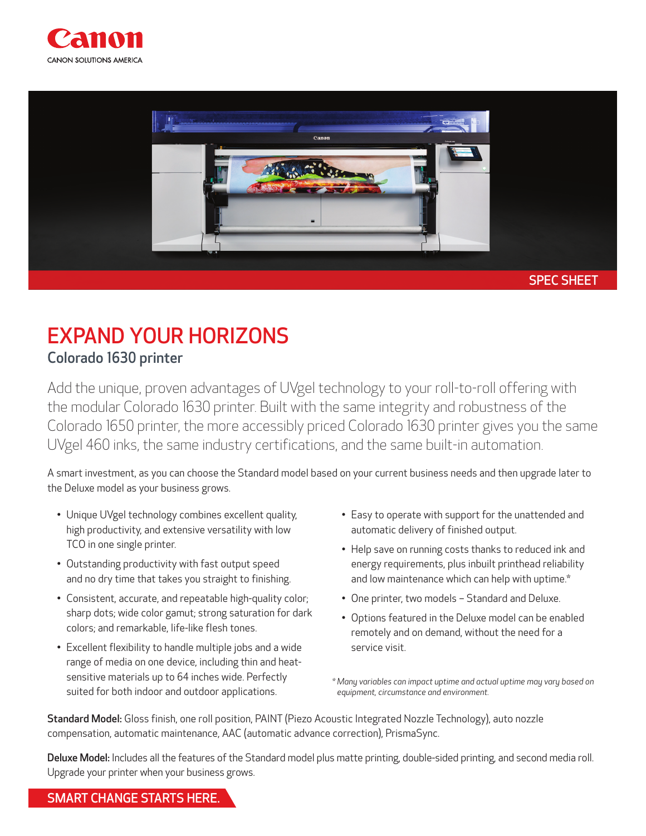



## EXPAND YOUR HORIZONS Colorado 1630 printer

Add the unique, proven advantages of UVgel technology to your roll-to-roll offering with the modular Colorado 1630 printer. Built with the same integrity and robustness of the Colorado 1650 printer, the more accessibly priced Colorado 1630 printer gives you the same UVgel 460 inks, the same industry certifications, and the same built-in automation.

A smart investment, as you can choose the Standard model based on your current business needs and then upgrade later to the Deluxe model as your business grows.

- Unique UVgel technology combines excellent quality, high productivity, and extensive versatility with low TCO in one single printer.
- Outstanding productivity with fast output speed and no dry time that takes you straight to finishing.
- Consistent, accurate, and repeatable high-quality color; sharp dots; wide color gamut; strong saturation for dark colors; and remarkable, life-like flesh tones.
- Excellent flexibility to handle multiple jobs and a wide range of media on one device, including thin and heatsensitive materials up to 64 inches wide. Perfectly suited for both indoor and outdoor applications.
- Easy to operate with support for the unattended and automatic delivery of finished output.
- Help save on running costs thanks to reduced ink and energy requirements, plus inbuilt printhead reliability and low maintenance which can help with uptime.\*
- One printer, two models Standard and Deluxe.
- Options featured in the Deluxe model can be enabled remotely and on demand, without the need for a service visit.

*\* Many variables can impact uptime and actual uptime may vary based on equipment, circumstance and environment.* 

Standard Model: Gloss finish, one roll position, PAINT (Piezo Acoustic Integrated Nozzle Technology), auto nozzle compensation, automatic maintenance, AAC (automatic advance correction), PrismaSync.

Deluxe Model: Includes all the features of the Standard model plus matte printing, double-sided printing, and second media roll. Upgrade your printer when your business grows.

## SMART CHANGE STARTS HERE.